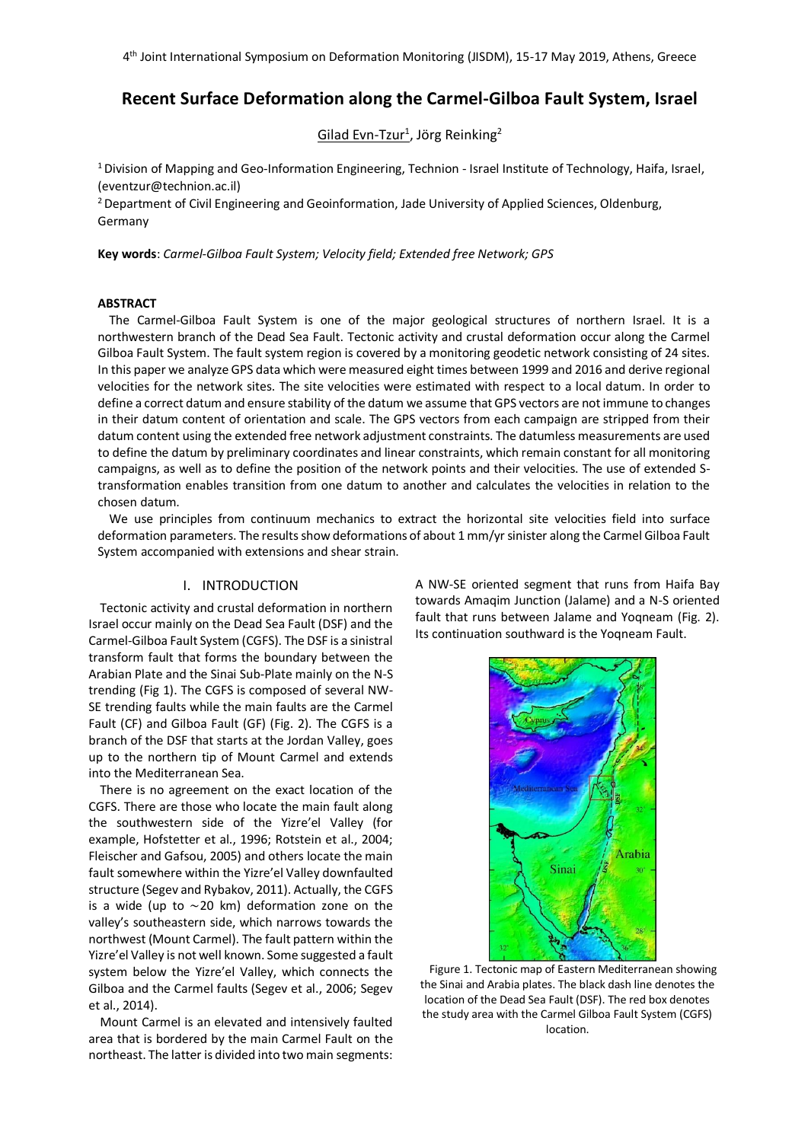# **Recent Surface Deformation along the Carmel-Gilboa Fault System, Israel**

Gilad Evn-Tzur<sup>1</sup>, Jörg Reinking<sup>2</sup>

<sup>1</sup> Division of Mapping and Geo-Information Engineering, Technion - Israel Institute of Technology, Haifa, Israel, (eventzur@technion.ac.il)

<sup>2</sup> Department of Civil Engineering and Geoinformation, Jade University of Applied Sciences, Oldenburg, Germany

**Key words**: *Carmel-Gilboa Fault System; Velocity field; Extended free Network; GPS*

#### **ABSTRACT**

The Carmel-Gilboa Fault System is one of the major geological structures of northern Israel. It is a northwestern branch of the Dead Sea Fault. Tectonic activity and crustal deformation occur along the Carmel Gilboa Fault System. The fault system region is covered by a monitoring geodetic network consisting of 24 sites. In this paper we analyze GPS data which were measured eight times between 1999 and 2016 and derive regional velocities for the network sites. The site velocities were estimated with respect to a local datum. In order to define a correct datum and ensure stability of the datum we assume that GPS vectors are not immune to changes in their datum content of orientation and scale. The GPS vectors from each campaign are stripped from their datum content using the extended free network adjustment constraints. The datumless measurements are used to define the datum by preliminary coordinates and linear constraints, which remain constant for all monitoring campaigns, as well as to define the position of the network points and their velocities. The use of extended Stransformation enables transition from one datum to another and calculates the velocities in relation to the chosen datum.

We use principles from continuum mechanics to extract the horizontal site velocities field into surface deformation parameters. The results show deformations of about 1 mm/yr sinister along the Carmel Gilboa Fault System accompanied with extensions and shear strain.

# I. INTRODUCTION

Tectonic activity and crustal deformation in northern Israel occur mainly on the Dead Sea Fault (DSF) and the Carmel-Gilboa Fault System (CGFS). The DSF is a sinistral transform fault that forms the boundary between the Arabian Plate and the Sinai Sub-Plate mainly on the N-S trending (Fig 1). The CGFS is composed of several NW-SE trending faults while the main faults are the Carmel Fault (CF) and Gilboa Fault (GF) (Fig. 2). The CGFS is a branch of the DSF that starts at the Jordan Valley, goes up to the northern tip of Mount Carmel and extends into the Mediterranean Sea.

There is no agreement on the exact location of the CGFS. There are those who locate the main fault along the southwestern side of the Yizre'el Valley (for example, Hofstetter et al., 1996; Rotstein et al., 2004; Fleischer and Gafsou, 2005) and others locate the main fault somewhere within the Yizre'el Valley downfaulted structure (Segev and Rybakov, 2011). Actually, the CGFS is a wide (up to ∼20 km) deformation zone on the valley's southeastern side, which narrows towards the northwest (Mount Carmel). The fault pattern within the Yizre'el Valley is not well known. Some suggested a fault system below the Yizre'el Valley, which connects the Gilboa and the Carmel faults (Segev et al., 2006; Segev et al., 2014).

Mount Carmel is an elevated and intensively faulted area that is bordered by the main Carmel Fault on the northeast. The latter is divided into two main segments: A NW-SE oriented segment that runs from Haifa Bay towards Amaqim Junction (Jalame) and a N-S oriented fault that runs between Jalame and Yogneam (Fig. 2). Its continuation southward is the Yoqneam Fault.



Figure 1. Tectonic map of Eastern Mediterranean showing the Sinai and Arabia plates. The black dash line denotes the location of the Dead Sea Fault (DSF). The red box denotes the study area with the Carmel Gilboa Fault System (CGFS) location.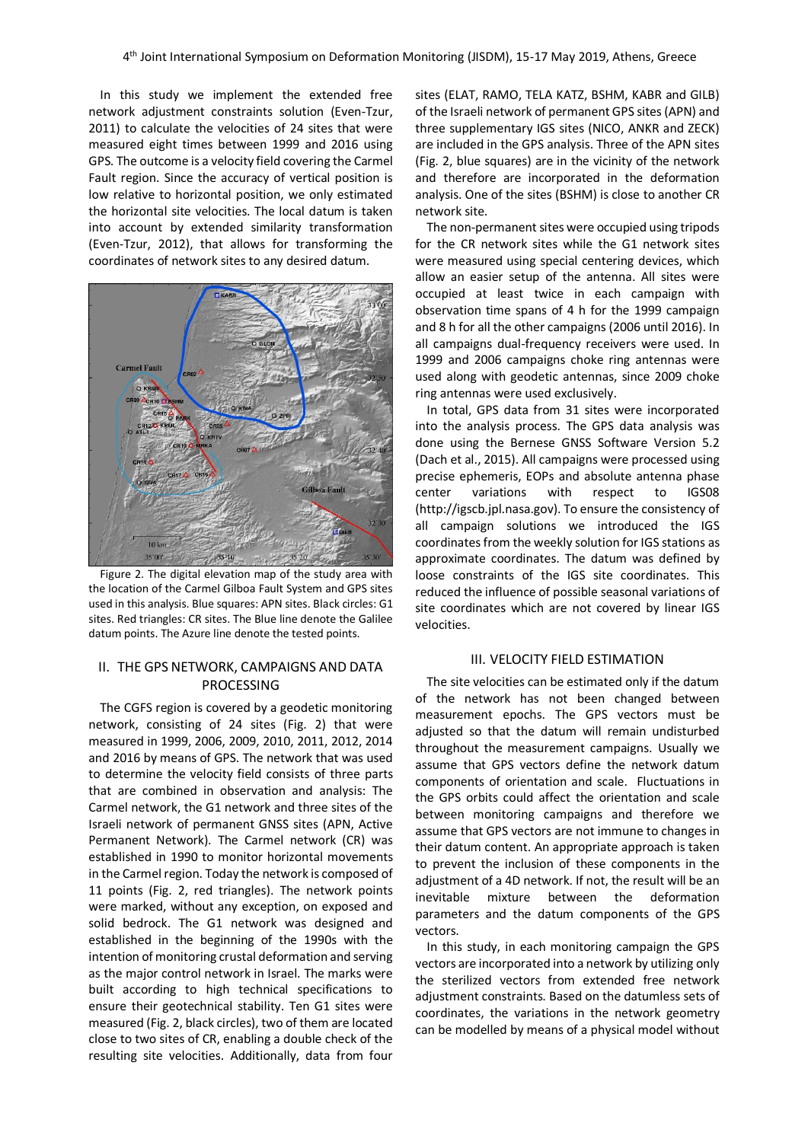In this study we implement the extended free network adjustment constraints solution (Even-Tzur, 2011) to calculate the velocities of 24 sites that were measured eight times between 1999 and 2016 using GPS. The outcome is a velocity field covering the Carmel Fault region. Since the accuracy of vertical position is low relative to horizontal position, we only estimated the horizontal site velocities. The local datum is taken into account by extended similarity transformation (Even-Tzur, 2012), that allows for transforming the coordinates of network sites to any desired datum.



Figure 2. The digital elevation map of the study area with the location of the Carmel Gilboa Fault System and GPS sites used in this analysis. Blue squares: APN sites. Black circles: G1 sites. Red triangles: CR sites. The Blue line denote the Galilee datum points. The Azure line denote the tested points.

# II. THE GPS NETWORK, CAMPAIGNS AND DATA PROCESSING

The CGFS region is covered by a geodetic monitoring network, consisting of 24 sites (Fig. 2) that were measured in 1999, 2006, 2009, 2010, 2011, 2012, 2014 and 2016 by means of GPS. The network that was used to determine the velocity field consists of three parts that are combined in observation and analysis: The Carmel network, the G1 network and three sites of the Israeli network of permanent GNSS sites (APN, Active Permanent Network). The Carmel network (CR) was established in 1990 to monitor horizontal movements in the Carmel region. Today the network is composed of 11 points (Fig. 2, red triangles). The network points were marked, without any exception, on exposed and solid bedrock. The G1 network was designed and established in the beginning of the 1990s with the intention of monitoring crustal deformation and serving as the major control network in Israel. The marks were built according to high technical specifications to ensure their geotechnical stability. Ten G1 sites were measured (Fig. 2, black circles), two of them are located close to two sites of CR, enabling a double check of the resulting site velocities. Additionally, data from four sites (ELAT, RAMO, TELA KATZ, BSHM, KABR and GILB) of the Israeli network of permanent GPS sites (APN) and three supplementary IGS sites (NICO, ANKR and ZECK) are included in the GPS analysis. Three of the APN sites (Fig. 2, blue squares) are in the vicinity of the network and therefore are incorporated in the deformation analysis. One of the sites (BSHM) is close to another CR network site.

The non-permanent sites were occupied using tripods for the CR network sites while the G1 network sites were measured using special centering devices, which allow an easier setup of the antenna. All sites were occupied at least twice in each campaign with observation time spans of 4 h for the 1999 campaign and 8 h for all the other campaigns (2006 until 2016). In all campaigns dual-frequency receivers were used. In 1999 and 2006 campaigns choke ring antennas were used along with geodetic antennas, since 2009 choke ring antennas were used exclusively.

In total, GPS data from 31 sites were incorporated into the analysis process. The GPS data analysis was done using the Bernese GNSS Software Version 5.2 (Dach et al., 2015). All campaigns were processed using precise ephemeris, EOPs and absolute antenna phase center variations with respect to IGS08 (http://igscb.jpl.nasa.gov). To ensure the consistency of all campaign solutions we introduced the IGS coordinates from the weekly solution for IGS stations as approximate coordinates. The datum was defined by loose constraints of the IGS site coordinates. This reduced the influence of possible seasonal variations of site coordinates which are not covered by linear IGS velocities.

# III. VELOCITY FIELD ESTIMATION

The site velocities can be estimated only if the datum of the network has not been changed between measurement epochs. The GPS vectors must be adjusted so that the datum will remain undisturbed throughout the measurement campaigns. Usually we assume that GPS vectors define the network datum components of orientation and scale. Fluctuations in the GPS orbits could affect the orientation and scale between monitoring campaigns and therefore we assume that GPS vectors are not immune to changes in their datum content. An appropriate approach is taken to prevent the inclusion of these components in the adjustment of a 4D network. If not, the result will be an inevitable mixture between the deformation parameters and the datum components of the GPS vectors.

In this study, in each monitoring campaign the GPS vectors are incorporated into a network by utilizing only the sterilized vectors from extended free network adjustment constraints. Based on the datumless sets of coordinates, the variations in the network geometry can be modelled by means of a physical model without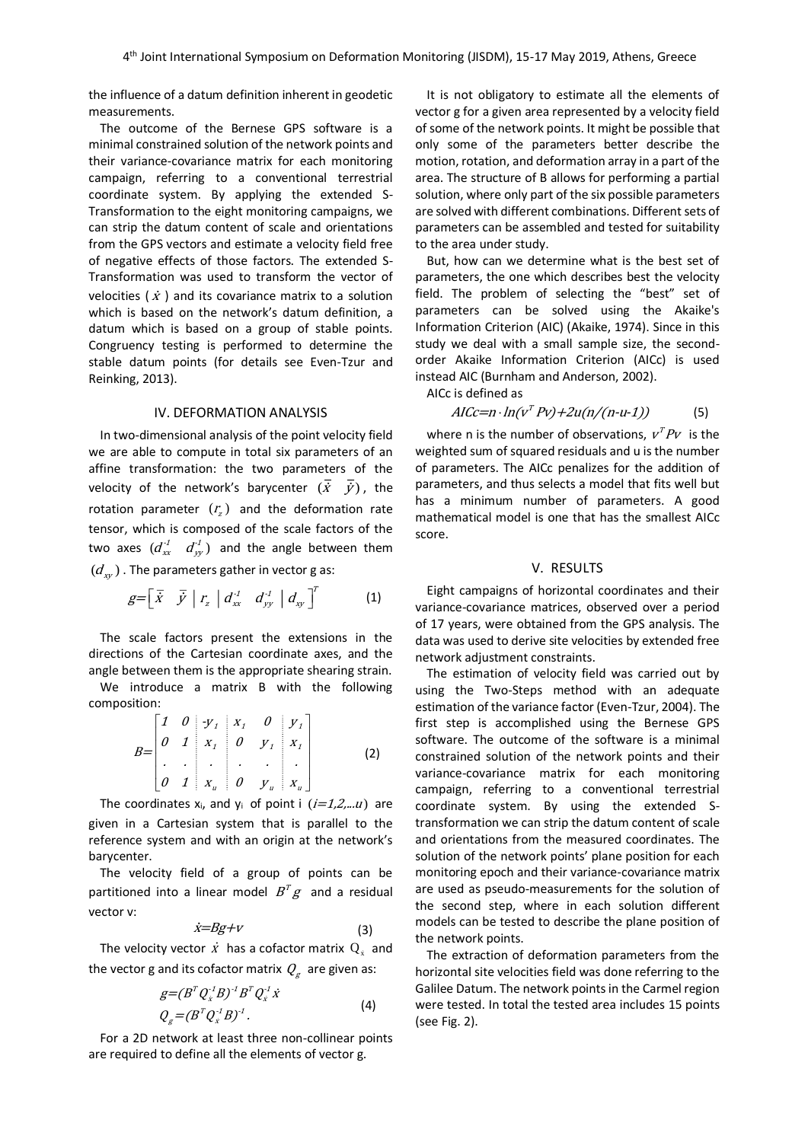the influence of a datum definition inherent in geodetic measurements.

The outcome of the Bernese GPS software is a minimal constrained solution of the network points and their variance-covariance matrix for each monitoring campaign, referring to a conventional terrestrial coordinate system. By applying the extended S-Transformation to the eight monitoring campaigns, we can strip the datum content of scale and orientations from the GPS vectors and estimate a velocity field free of negative effects of those factors. The extended S-Transformation was used to transform the vector of velocities ( $\dot{x}$ ) and its covariance matrix to a solution which is based on the network's datum definition, a datum which is based on a group of stable points. Congruency testing is performed to determine the stable datum points (for details see Even-Tzur and Reinking, 2013).

### IV. DEFORMATION ANALYSIS

In two-dimensional analysis of the point velocity field we are able to compute in total six parameters of an affine transformation: the two parameters of the velocity of the network's barycenter  $(\dot{x}$   $\dot{y})$ , the rotation parameter  $(r_z)$  and the deformation rate tensor, which is composed of the scale factors of the two axes  $(d_{xx}^{t-d} - d_{yy}^{t})$  and the angle between them  $(d_{xy})$  . The parameters gather in vector g as:

$$
g=\begin{bmatrix} \overline{x} & \overline{y} & r_z & d_{xx}^1 & d_{yy}^1 & d_{xy} \end{bmatrix}^T
$$
 (1)

The scale factors present the extensions in the directions of the Cartesian coordinate axes, and the angle between them is the appropriate shearing strain.

We introduce a matrix B with the following composition:

$$
B=\begin{bmatrix} 1 & 0 & y_1 & x_1 & 0 & y_1 \\ 0 & 1 & x_1 & 0 & y_1 & x_1 \\ . & . & . & . & . & . \\ 0 & 1 & x_u & 0 & y_u & x_u \end{bmatrix}
$$
 (2)

The coordinates  $x_i$ , and  $y_i$  of point i  $(i=1,2,...u)$  are given in a Cartesian system that is parallel to the reference system and with an origin at the network's barycenter.

The velocity field of a group of points can be partitioned into a linear model  $B^T g$  and a residual vector v:

$$
\dot{x}=Bg+V\tag{3}
$$

The velocity vector  $\dot{x}$  has a cofactor matrix  $Q_{\dot{x}}$  and the vector g and its cofactor matrix  $\mathit{Q}_g\;$  are given as:

$$
g = (B^T Q_x^T B)^{-1} B^T Q_x^T \dot{x}
$$
  
\n
$$
Q_g = (B^T Q_x^T B)^{-1}.
$$
\n(4)

For a 2D network at least three non-collinear points are required to define all the elements of vector g.

It is not obligatory to estimate all the elements of vector g for a given area represented by a velocity field of some of the network points. It might be possible that only some of the parameters better describe the motion, rotation, and deformation array in a part of the area. The structure of B allows for performing a partial solution, where only part of the six possible parameters are solved with different combinations. Different sets of parameters can be assembled and tested for suitability to the area under study.

But, how can we determine what is the best set of parameters, the one which describes best the velocity field. The problem of selecting the "best" set of parameters can be solved using the Akaike's Information Criterion (AIC) (Akaike, 1974). Since in this study we deal with a small sample size, the secondorder Akaike Information Criterion (AICc) is used instead AIC (Burnham and Anderson, 2002).

AICc is defined as

$$
AICc=n \cdot ln(v^T P v) + 2u(n/(n-u-1))
$$
 (5)

where n is the number of observations,  $v<sup>T</sup>Pv$  is the weighted sum of squared residuals and u is the number of parameters. The AICc penalizes for the addition of parameters, and thus selects a model that fits well but has a minimum number of parameters. A good mathematical model is one that has the smallest AICc score.

#### V. RESULTS

Eight campaigns of horizontal coordinates and their variance-covariance matrices, observed over a period of 17 years, were obtained from the GPS analysis. The data was used to derive site velocities by extended free network adjustment constraints.

The estimation of velocity field was carried out by using the Two-Steps method with an adequate estimation of the variance factor (Even-Tzur, 2004). The first step is accomplished using the Bernese GPS software. The outcome of the software is a minimal constrained solution of the network points and their variance-covariance matrix for each monitoring campaign, referring to a conventional terrestrial coordinate system. By using the extended Stransformation we can strip the datum content of scale and orientations from the measured coordinates. The solution of the network points' plane position for each monitoring epoch and their variance-covariance matrix are used as pseudo-measurements for the solution of the second step, where in each solution different models can be tested to describe the plane position of the network points.

The extraction of deformation parameters from the horizontal site velocities field was done referring to the Galilee Datum. The network points in the Carmel region were tested. In total the tested area includes 15 points (see Fig. 2).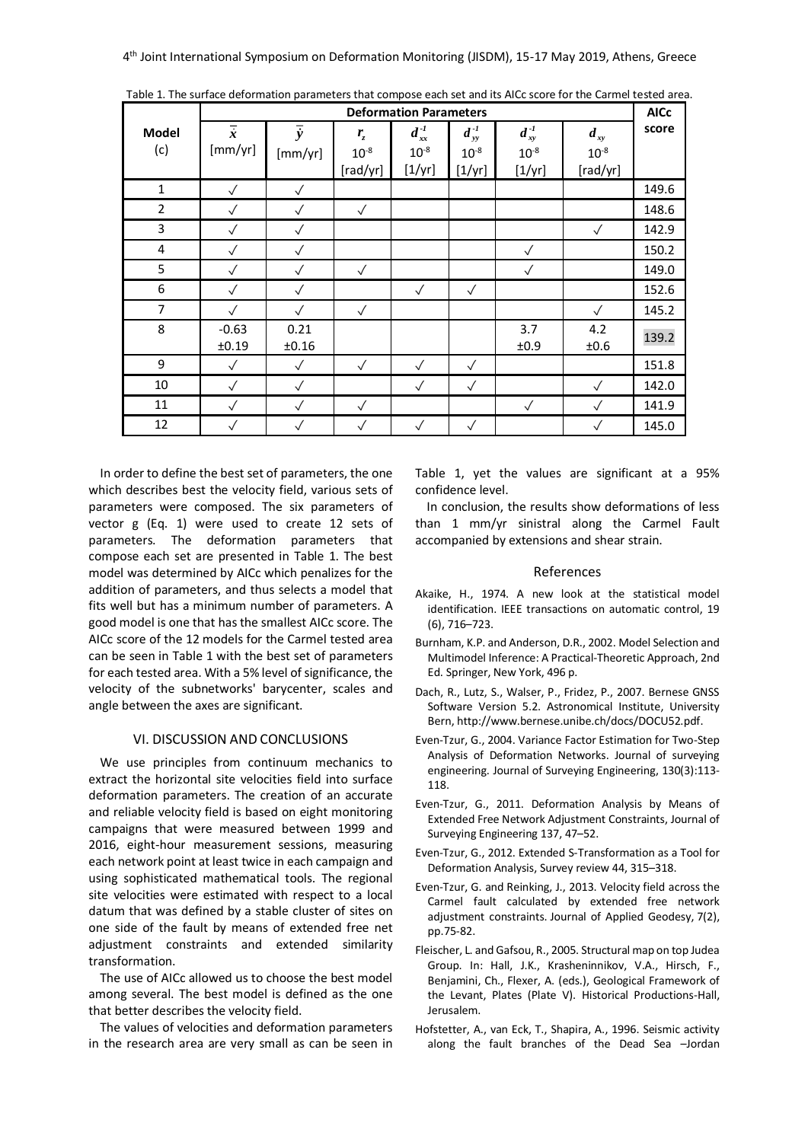|                | <b>Deformation Parameters</b> |                      |              |               |               |                |              | <b>AICc</b> |
|----------------|-------------------------------|----------------------|--------------|---------------|---------------|----------------|--------------|-------------|
| Model          | $\overline{\dot{x}}$          | $\overline{\dot{y}}$ | $r_{\rm z}$  | $d_{xx}^{-1}$ | $d_{yy}^{-1}$ | $d_{xy}^{-1}$  | $d_{xy}$     | score       |
| (c)            | [mm/yr]                       | [mm/yr]              | $10^{-8}$    | $10^{-8}$     | $10^{-8}$     | $10^{-8}$      | $10^{-8}$    |             |
|                |                               |                      | [rad/yr]     | [1/yr]        | [1/yr]        | $[1/\gamma r]$ | [rad/yr]     |             |
| $\mathbf{1}$   | $\checkmark$                  | $\checkmark$         |              |               |               |                |              | 149.6       |
| $\overline{2}$ | $\checkmark$                  | $\checkmark$         | $\checkmark$ |               |               |                |              | 148.6       |
| 3              | $\checkmark$                  | $\checkmark$         |              |               |               |                | $\sqrt{}$    | 142.9       |
| 4              | $\checkmark$                  | $\checkmark$         |              |               |               | $\checkmark$   |              | 150.2       |
| 5              | $\checkmark$                  | $\checkmark$         | $\checkmark$ |               |               | $\checkmark$   |              | 149.0       |
| 6              | $\checkmark$                  | $\checkmark$         |              | $\checkmark$  | $\checkmark$  |                |              | 152.6       |
| 7              | $\checkmark$                  | $\checkmark$         | $\checkmark$ |               |               |                | $\checkmark$ | 145.2       |
| 8              | $-0.63$                       | 0.21                 |              |               |               | 3.7            | 4.2          | 139.2       |
|                | ±0.19                         | ±0.16                |              |               |               | ±0.9           | ±0.6         |             |
| 9              | $\checkmark$                  | $\sqrt{}$            | $\checkmark$ | $\checkmark$  | $\checkmark$  |                |              | 151.8       |
| 10             | $\checkmark$                  | $\checkmark$         |              | $\checkmark$  | $\checkmark$  |                | $\checkmark$ | 142.0       |
| 11             | $\checkmark$                  | $\checkmark$         | $\checkmark$ |               |               | $\checkmark$   | $\checkmark$ | 141.9       |
| 12             | $\checkmark$                  | $\checkmark$         | $\checkmark$ | $\checkmark$  | $\checkmark$  |                | $\checkmark$ | 145.0       |

Table 1. The surface deformation parameters that compose each set and its AICc score for the Carmel tested area.

In order to define the best set of parameters, the one which describes best the velocity field, various sets of parameters were composed. The six parameters of vector g (Eq. 1) were used to create 12 sets of parameters. The deformation parameters that compose each set are presented in Table 1. The best model was determined by AICc which penalizes for the addition of parameters, and thus selects a model that fits well but has a minimum number of parameters. A good model is one that has the smallest AICc score. The AICc score of the 12 models for the Carmel tested area can be seen in Table 1 with the best set of parameters for each tested area. With a 5% level of significance, the velocity of the subnetworks' barycenter, scales and angle between the axes are significant.

# VI. DISCUSSION AND CONCLUSIONS

We use principles from continuum mechanics to extract the horizontal site velocities field into surface deformation parameters. The creation of an accurate and reliable velocity field is based on eight monitoring campaigns that were measured between 1999 and 2016, eight-hour measurement sessions, measuring each network point at least twice in each campaign and using sophisticated mathematical tools. The regional site velocities were estimated with respect to a local datum that was defined by a stable cluster of sites on one side of the fault by means of extended free net adjustment constraints and extended similarity transformation.

The use of AICc allowed us to choose the best model among several. The best model is defined as the one that better describes the velocity field.

The values of velocities and deformation parameters in the research area are very small as can be seen in Table 1, yet the values are significant at a 95% confidence level.

In conclusion, the results show deformations of less than 1 mm/yr sinistral along the Carmel Fault accompanied by extensions and shear strain.

#### References

- Akaike, H., 1974. A new look at the statistical model identification. IEEE transactions on automatic control, 19 (6), 716–723.
- Burnham, K.P. and Anderson, D.R., 2002. Model Selection and Multimodel Inference: A Practical-Theoretic Approach, 2nd Ed. Springer, New York, 496 p.
- Dach, R., Lutz, S., Walser, P., Fridez, P., 2007. Bernese GNSS Software Version 5.2. Astronomical Institute, University Bern, http://www.bernese.unibe.ch/docs/DOCU52.pdf.
- Even-Tzur, G., 2004. Variance Factor Estimation for Two-Step Analysis of Deformation Networks. Journal of surveying engineering. Journal of Surveying Engineering, 130(3):113- 118.
- Even-Tzur, G., 2011. Deformation Analysis by Means of Extended Free Network Adjustment Constraints, Journal of Surveying Engineering 137, 47–52.
- Even-Tzur, G., 2012. Extended S-Transformation as a Tool for Deformation Analysis, Survey review 44, 315–318.
- Even-Tzur, G. and Reinking, J., 2013. Velocity field across the Carmel fault calculated by extended free network adjustment constraints. Journal of Applied Geodesy, 7(2), pp.75-82.
- Fleischer, L. and Gafsou, R., 2005. Structural map on top Judea Group. In: Hall, J.K., Krasheninnikov, V.A., Hirsch, F., Benjamini, Ch., Flexer, A. (eds.), Geological Framework of the Levant, Plates (Plate V). Historical Productions-Hall, Jerusalem.
- Hofstetter, A., van Eck, T., Shapira, A., 1996. Seismic activity along the fault branches of the Dead Sea –Jordan